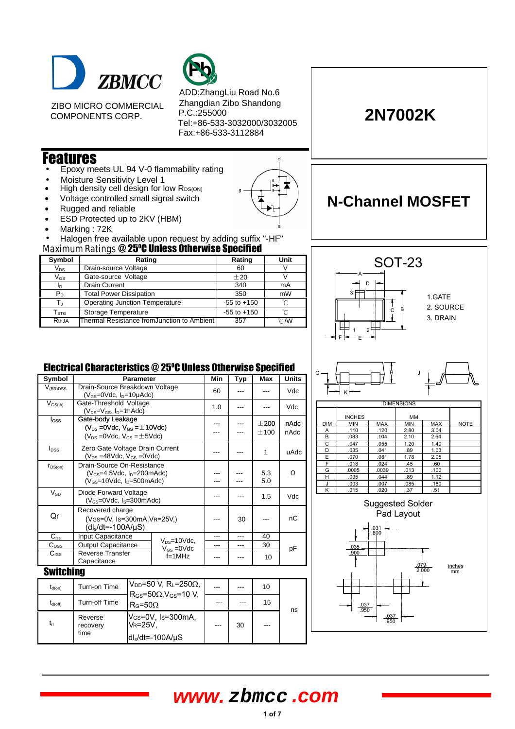

ZIBO MICRO COMMERCIAL COMPONENTS CORP.



ADD:ZhangLiu Road No.6 Zhangdian Zibo Shandong P.C.:255000 Tel:+86-533-3032000/3032005 Fax:+86-533-3112884

d

#### Features

- Epoxy meets UL 94 V-0 flammability rating
- Moisture Sensitivity Level 1
- High density cell design for low RDS(ON)
- Voltage controlled small signal switch
- Rugged and reliable
- ESD Protected up to 2KV (HBM)
- Marking : 72K
- Maximum Ratings @ 25°C Unless Otherwise Specified • Halogen free available upon request by adding suffix "-HF"

| ,, , , , , , , , , , , <u>.</u> |                                                          |                 |        |  |  |  |  |
|---------------------------------|----------------------------------------------------------|-----------------|--------|--|--|--|--|
| Symbol                          | Rating                                                   | Rating          | Unit   |  |  |  |  |
| $V_{DS}$                        | Drain-source Voltage                                     | 60              |        |  |  |  |  |
| $\mathsf{V}_{\mathsf{GS}}$      | Gate-source Voltage                                      | ±20             |        |  |  |  |  |
| In.                             | <b>Drain Current</b>                                     | 340             | mA     |  |  |  |  |
| $P_D$                           | <b>Total Power Dissipation</b>                           | mW              |        |  |  |  |  |
|                                 | <b>Operating Junction Temperature</b><br>$-55$ to $+150$ |                 | $\sim$ |  |  |  |  |
| $\mathsf{T}_{\text{STG}}$       | Storage Temperature                                      | $-55$ to $+150$ | $\sim$ |  |  |  |  |
| RthJA                           | Thermal Resistance fromJunction to Ambient               | 357             | °CM    |  |  |  |  |



#### Electrical Characteristics @ 25°C Unless Otherwise Specified

| Symbol           | <b>Parameter</b>                                                                                           |                                                                                                               |                  | Min | Typ | Max          | <b>Units</b> |  |
|------------------|------------------------------------------------------------------------------------------------------------|---------------------------------------------------------------------------------------------------------------|------------------|-----|-----|--------------|--------------|--|
| $V_{(BR)DSS}$    | Drain-Source Breakdown Voltage<br>$(V_{GS}=0$ Vdc, $I_{D}=10\mu$ Adc)                                      |                                                                                                               |                  | 60  |     |              | Vdc          |  |
| $V_{GS(th)}$     | Gate-Threshold Voltage<br>$(V_{DS}=V_{GS}, I_D=$ 1mAdc)                                                    |                                                                                                               |                  | 1.0 |     |              | Vdc          |  |
| <b>I</b> GSS     | Gate-body Leakage<br>$(V_{DS} = 0$ Vdc, $V_{GS} = \pm 10$ Vdc)<br>$(V_{DS} = 0$ Vdc, $V_{GS} = \pm 5$ Vdc) |                                                                                                               |                  |     |     | ±200<br>±100 | nAdc<br>nAdc |  |
| $I_{DSS}$        | Zero Gate Voltage Drain Current<br>$(V_{DS} = 48Vdc, V_{GS} = 0Vdc)$                                       |                                                                                                               |                  |     |     | $\mathbf{1}$ | uAdc         |  |
| $r_{DS(on)}$     | Drain-Source On-Resistance<br>$(V_{GS}=4.5$ Vdc, $I_D=200$ mAdc)<br>$(V_{GS}=10Vdc, I_D=500mAdc)$          |                                                                                                               |                  |     |     | 5.3<br>5.0   | Ω            |  |
| $V_{SD}$         | Diode Forward Voltage<br>$(V_{GS}=0$ Vdc, $I_S=300$ mAdc)                                                  |                                                                                                               |                  |     |     | 1.5          | Vdc          |  |
| Or               | Recovered charge<br>(VGS=0V, Is=300mA, VR=25V.)<br>$(dIs/dt=-100A/\mu S)$                                  |                                                                                                               |                  |     | 30  |              | nC           |  |
| $C_{iss}$        | Input Capacitance<br>$V_{DS} = 10$ Vdc,                                                                    |                                                                                                               | ---              | --- | 40  |              |              |  |
| $C_{\rm OSS}$    | <b>Output Capacitance</b>                                                                                  |                                                                                                               | $V_{GS} = 0$ Vdc |     | --- | 30           | рF           |  |
| C <sub>rSS</sub> | <b>Reverse Transfer</b><br>Capacitance                                                                     |                                                                                                               | $f=1$ MHz        |     |     | 10           |              |  |
| <b>Switching</b> |                                                                                                            |                                                                                                               |                  |     |     |              |              |  |
| $t_{d(on)}$      | Turn-on Time                                                                                               | $V_{DD}$ =50 V, R <sub>L</sub> =250 $\Omega$ ,<br>$R_{GS}$ =50 $\Omega$ .V $_{GS}$ =10 V.<br>$R_G = 50\Omega$ |                  |     |     | 10           |              |  |
| $t_{d(off)}$     | <b>Turn-off Time</b>                                                                                       |                                                                                                               |                  | --- | --- | 15           | ns           |  |
| $t_{rr}$         | Reverse<br>recovery<br>time                                                                                | V <sub>GS</sub> =0V, Is=300mA,<br><b>VR=25V.</b><br>$dl_s/dt = -100A/\mu S$                                   |                  |     | 30  |              |              |  |



.037 .950

.037 .950



# **N-Channel MOSFET**

**2N7002K**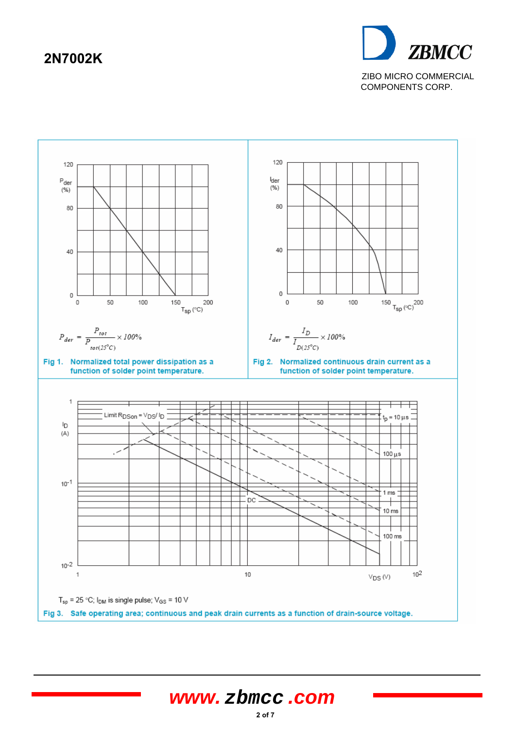

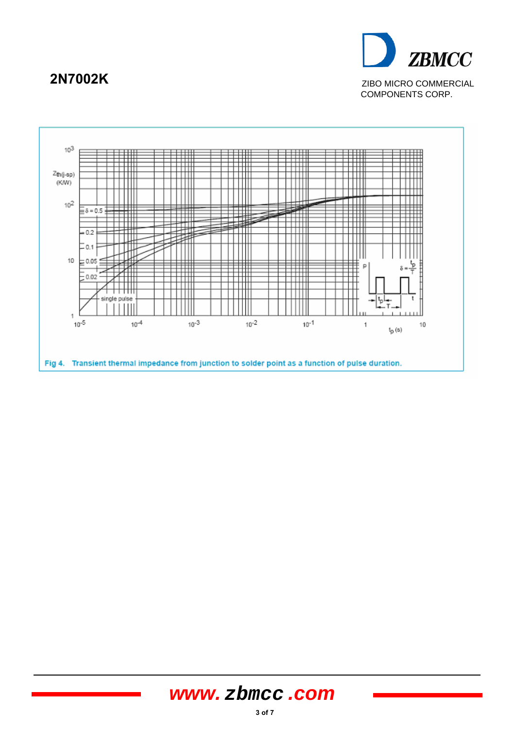

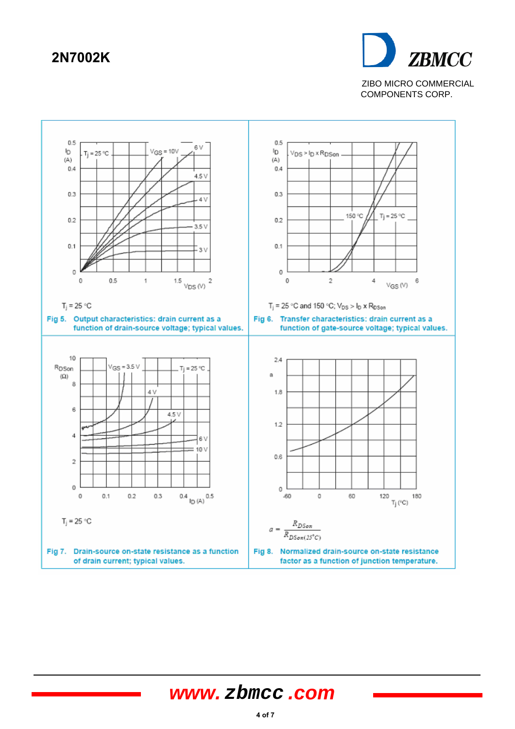

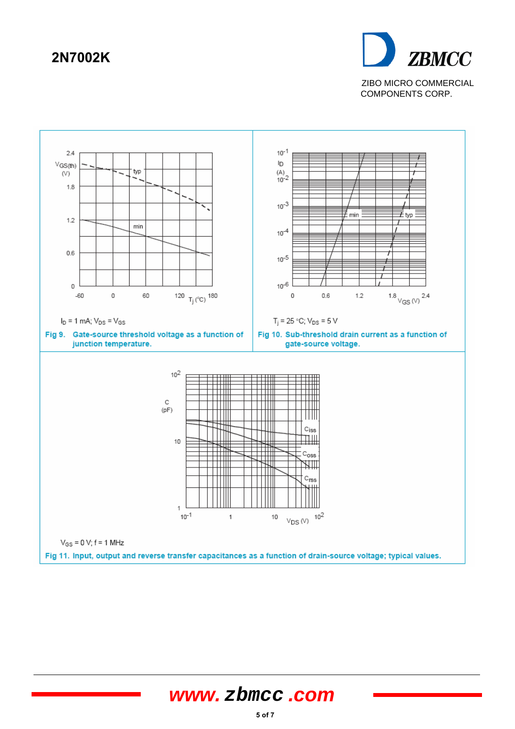

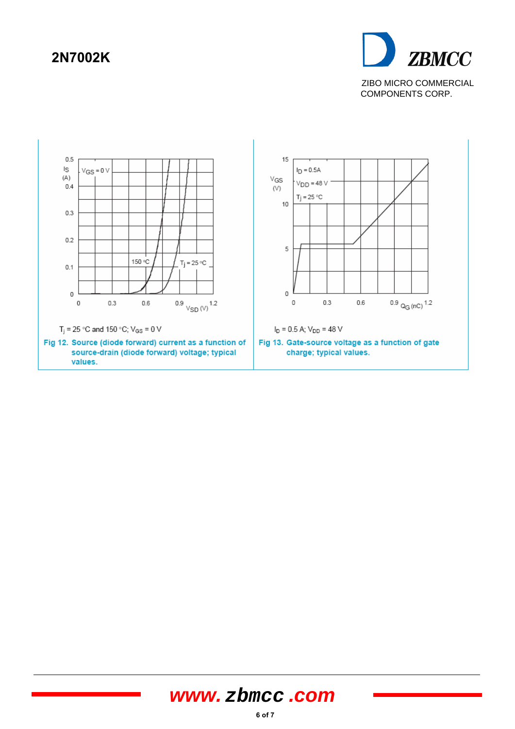